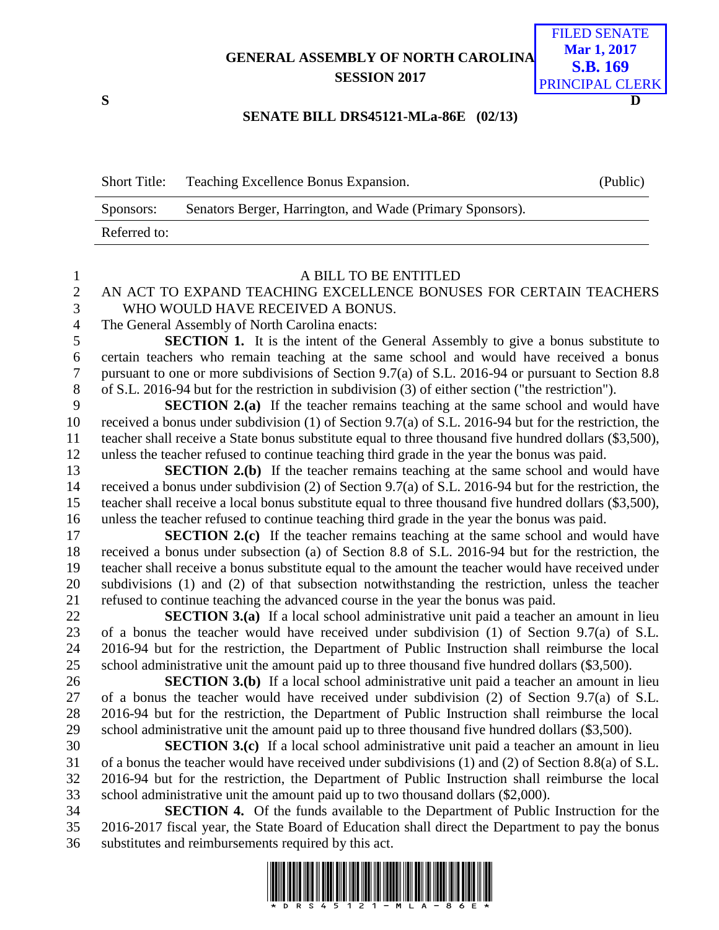## **GENERAL ASSEMBLY OF NORTH CAROLINA SESSION 2017**



## **SENATE BILL DRS45121-MLa-86E (02/13)**

| <b>Short Title:</b> | Teaching Excellence Bonus Expansion.                      | (Public) |
|---------------------|-----------------------------------------------------------|----------|
| Sponsors:           | Senators Berger, Harrington, and Wade (Primary Sponsors). |          |
| Referred to:        |                                                           |          |

## A BILL TO BE ENTITLED AN ACT TO EXPAND TEACHING EXCELLENCE BONUSES FOR CERTAIN TEACHERS

 WHO WOULD HAVE RECEIVED A BONUS. The General Assembly of North Carolina enacts:

 **SECTION 1.** It is the intent of the General Assembly to give a bonus substitute to certain teachers who remain teaching at the same school and would have received a bonus pursuant to one or more subdivisions of Section 9.7(a) of S.L. 2016-94 or pursuant to Section 8.8 of S.L. 2016-94 but for the restriction in subdivision (3) of either section ("the restriction").

 **SECTION 2.(a)** If the teacher remains teaching at the same school and would have received a bonus under subdivision (1) of Section 9.7(a) of S.L. 2016-94 but for the restriction, the teacher shall receive a State bonus substitute equal to three thousand five hundred dollars (\$3,500), unless the teacher refused to continue teaching third grade in the year the bonus was paid.

**SECTION 2.(b)** If the teacher remains teaching at the same school and would have received a bonus under subdivision (2) of Section 9.7(a) of S.L. 2016-94 but for the restriction, the teacher shall receive a local bonus substitute equal to three thousand five hundred dollars (\$3,500), unless the teacher refused to continue teaching third grade in the year the bonus was paid.

**SECTION 2.(c)** If the teacher remains teaching at the same school and would have received a bonus under subsection (a) of Section 8.8 of S.L. 2016-94 but for the restriction, the teacher shall receive a bonus substitute equal to the amount the teacher would have received under subdivisions (1) and (2) of that subsection notwithstanding the restriction, unless the teacher refused to continue teaching the advanced course in the year the bonus was paid.

 **SECTION 3.(a)** If a local school administrative unit paid a teacher an amount in lieu of a bonus the teacher would have received under subdivision (1) of Section 9.7(a) of S.L. 2016-94 but for the restriction, the Department of Public Instruction shall reimburse the local school administrative unit the amount paid up to three thousand five hundred dollars (\$3,500).

 **SECTION 3.(b)** If a local school administrative unit paid a teacher an amount in lieu of a bonus the teacher would have received under subdivision (2) of Section 9.7(a) of S.L. 2016-94 but for the restriction, the Department of Public Instruction shall reimburse the local school administrative unit the amount paid up to three thousand five hundred dollars (\$3,500).

 **SECTION 3.(c)** If a local school administrative unit paid a teacher an amount in lieu of a bonus the teacher would have received under subdivisions (1) and (2) of Section 8.8(a) of S.L. 2016-94 but for the restriction, the Department of Public Instruction shall reimburse the local school administrative unit the amount paid up to two thousand dollars (\$2,000).

 **SECTION 4.** Of the funds available to the Department of Public Instruction for the 2016-2017 fiscal year, the State Board of Education shall direct the Department to pay the bonus substitutes and reimbursements required by this act.